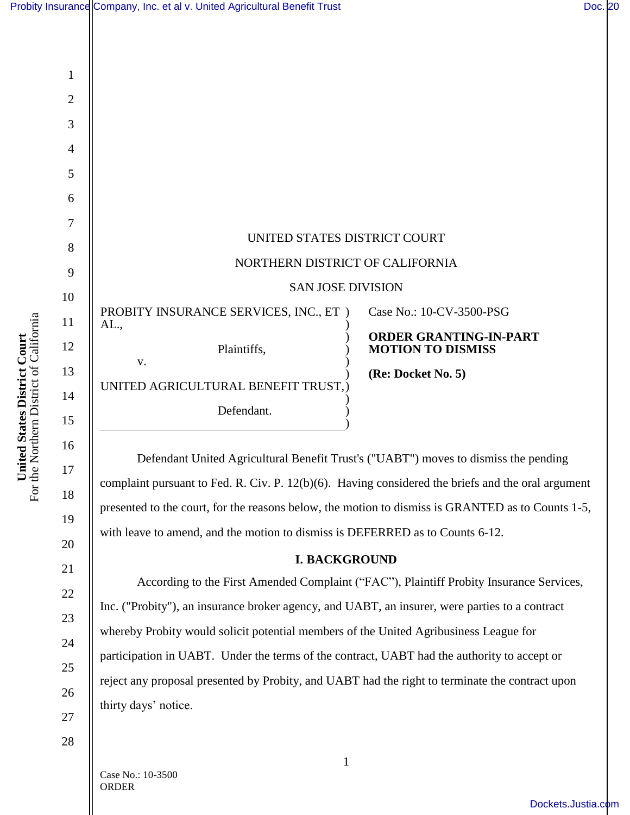|                                                                    |                | Probity Insurance Company, Inc. et al v. United Agricultural Benefit Trust                                                |                                                           | Doc. 20 |
|--------------------------------------------------------------------|----------------|---------------------------------------------------------------------------------------------------------------------------|-----------------------------------------------------------|---------|
|                                                                    |                |                                                                                                                           |                                                           |         |
|                                                                    |                |                                                                                                                           |                                                           |         |
|                                                                    | $\mathbf{1}$   |                                                                                                                           |                                                           |         |
|                                                                    | $\mathbf{2}$   |                                                                                                                           |                                                           |         |
|                                                                    | 3              |                                                                                                                           |                                                           |         |
|                                                                    | $\overline{4}$ |                                                                                                                           |                                                           |         |
|                                                                    | 5              |                                                                                                                           |                                                           |         |
|                                                                    | 6              |                                                                                                                           |                                                           |         |
| he Northern District of California<br>United States District Court | $\overline{7}$ |                                                                                                                           |                                                           |         |
|                                                                    | 8              | UNITED STATES DISTRICT COURT<br>NORTHERN DISTRICT OF CALIFORNIA                                                           |                                                           |         |
|                                                                    | 9              |                                                                                                                           |                                                           |         |
|                                                                    | 10             | <b>SAN JOSE DIVISION</b>                                                                                                  |                                                           |         |
|                                                                    | 11             | PROBITY INSURANCE SERVICES, INC., ET )<br>AL.,                                                                            | Case No.: 10-CV-3500-PSG                                  |         |
|                                                                    | 12             | Plaintiffs,                                                                                                               | <b>ORDER GRANTING-IN-PART</b><br><b>MOTION TO DISMISS</b> |         |
|                                                                    | 13             | ${\bf V}$ .                                                                                                               | (Re: Docket No. 5)                                        |         |
|                                                                    | 14             | UNITED AGRICULTURAL BENEFIT TRUST,                                                                                        |                                                           |         |
|                                                                    | 15             | Defendant.                                                                                                                |                                                           |         |
|                                                                    | 16             |                                                                                                                           |                                                           |         |
|                                                                    | 17             | Defendant United Agricultural Benefit Trust's ("UABT") moves to dismiss the pending<br>المناسب المتمرد والمستحدث المستنبذ |                                                           |         |

complaint pursuant to Fed. R. Civ. P. 12(b)(6). Having considered the briefs and the oral argument presented to the court, for the reasons below, the motion to dismiss is GRANTED as to Counts 1-5, with leave to amend, and the motion to dismiss is DEFERRED as to Counts 6-12.

#### **I. BACKGROUND**

According to the First Amended Complaint ("FAC"), Plaintiff Probity Insurance Services, Inc. ("Probity"), an insurance broker agency, and UABT, an insurer, were parties to a contract whereby Probity would solicit potential members of the United Agribusiness League for participation in UABT. Under the terms of the contract, UABT had the authority to accept or reject any proposal presented by Probity, and UABT had the right to terminate the contract upon thirty days' notice.

United States District Court<br>For the Northern District of California For the Northern District of California **United States District Court**

Case No.: 10-3500 ORDER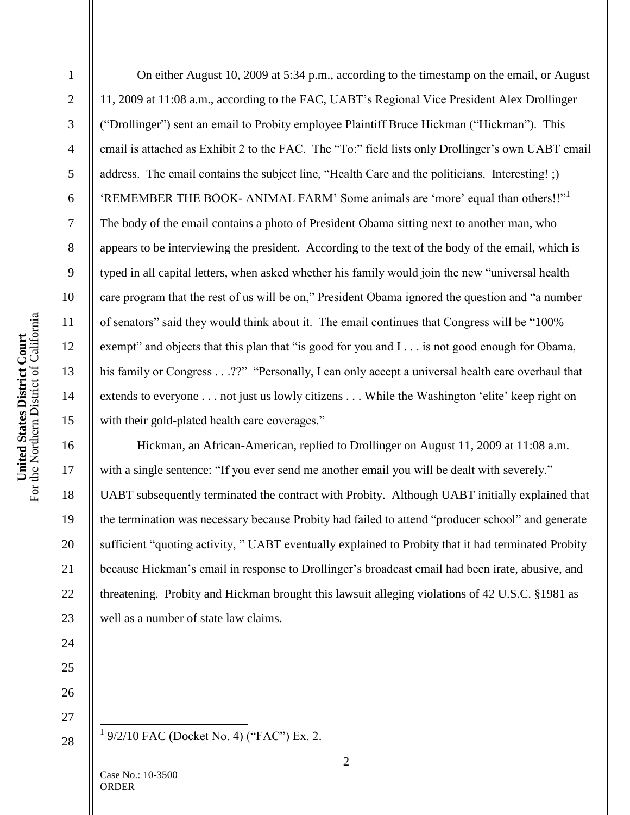1

2

3

4

5

6

7

8

9

10

11

12

13

14

15

16

17

18

19

20

21

22

23

24

25

26

On either August 10, 2009 at 5:34 p.m., according to the timestamp on the email, or August 11, 2009 at 11:08 a.m., according to the FAC, UABT's Regional Vice President Alex Drollinger ("Drollinger") sent an email to Probity employee Plaintiff Bruce Hickman ("Hickman"). This email is attached as Exhibit 2 to the FAC. The "To:" field lists only Drollinger's own UABT email address. The email contains the subject line, "Health Care and the politicians. Interesting! ;) 'REMEMBER THE BOOK- ANIMAL FARM' Some animals are 'more' equal than others!!"<sup>1</sup> The body of the email contains a photo of President Obama sitting next to another man, who appears to be interviewing the president. According to the text of the body of the email, which is typed in all capital letters, when asked whether his family would join the new "universal health care program that the rest of us will be on," President Obama ignored the question and "a number of senators" said they would think about it. The email continues that Congress will be "100% exempt" and objects that this plan that "is good for you and  $I \dots$  is not good enough for Obama, his family or Congress . . .??" "Personally, I can only accept a universal health care overhaul that extends to everyone . . . not just us lowly citizens . . . While the Washington 'elite' keep right on with their gold-plated health care coverages."

Hickman, an African-American, replied to Drollinger on August 11, 2009 at 11:08 a.m. with a single sentence: "If you ever send me another email you will be dealt with severely." UABT subsequently terminated the contract with Probity. Although UABT initially explained that the termination was necessary because Probity had failed to attend "producer school" and generate sufficient "quoting activity, " UABT eventually explained to Probity that it had terminated Probity because Hickman's email in response to Drollinger's broadcast email had been irate, abusive, and threatening. Probity and Hickman brought this lawsuit alleging violations of 42 U.S.C. §1981 as well as a number of state law claims.

27 28

 $\frac{1}{1}$  9/2/10 FAC (Docket No. 4) ("FAC") Ex. 2.

Case No.: 10-3500 ORDER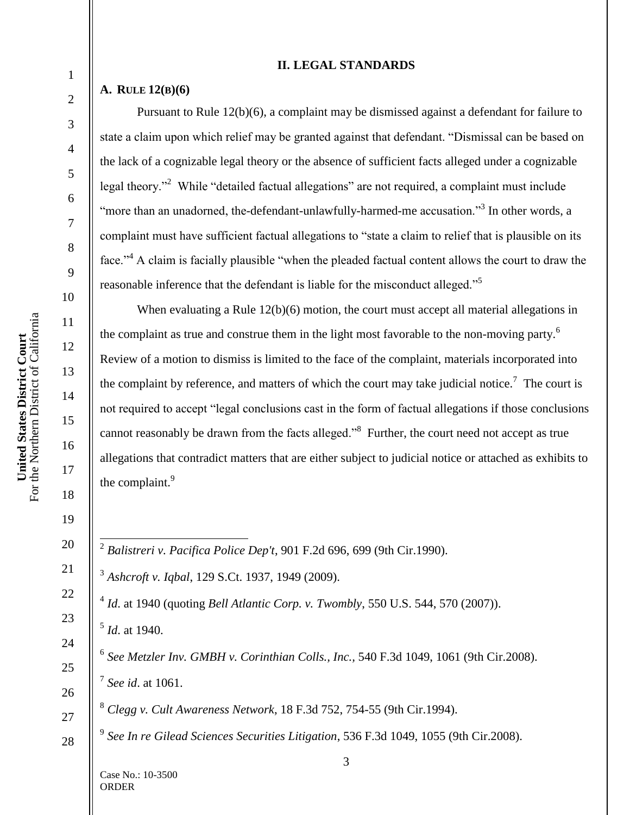#### **II. LEGAL STANDARDS**

### **A. RULE 12(B)(6)**

1

2

3

4

5

6

7

8

9

10

11

12

13

14

15

16

17

18

19

20

21

22

23

24

25

26

27

28

Pursuant to Rule 12(b)(6), a complaint may be dismissed against a defendant for failure to state a claim upon which relief may be granted against that defendant. "Dismissal can be based on the lack of a cognizable legal theory or the absence of sufficient facts alleged under a cognizable legal theory."<sup>2</sup> While "detailed factual allegations" are not required, a complaint must include "more than an unadorned, the-defendant-unlawfully-harmed-me accusation."<sup>3</sup> In other words, a complaint must have sufficient factual allegations to "state a claim to relief that is plausible on its face.<sup> $34$ </sup> A claim is facially plausible "when the pleaded factual content allows the court to draw the reasonable inference that the defendant is liable for the misconduct alleged.<sup>55</sup>

When evaluating a Rule 12(b)(6) motion, the court must accept all material allegations in the complaint as true and construe them in the light most favorable to the non-moving party.<sup>6</sup> Review of a motion to dismiss is limited to the face of the complaint, materials incorporated into the complaint by reference, and matters of which the court may take judicial notice.<sup>7</sup> The court is not required to accept "legal conclusions cast in the form of factual allegations if those conclusions cannot reasonably be drawn from the facts alleged." $8$  Further, the court need not accept as true allegations that contradict matters that are either subject to judicial notice or attached as exhibits to the complaint.<sup>9</sup>

2 *Balistreri v. Pacifica Police Dep't*, 901 F.2d 696, 699 (9th Cir.1990).

3 *Ashcroft v. Iqbal*, 129 S.Ct. 1937, 1949 (2009).

4 *Id*. at 1940 (quoting *Bell Atlantic Corp. v. Twombly*, 550 U.S. 544, 570 (2007)).

5 *Id*. at 1940.

6 *See Metzler Inv. GMBH v. Corinthian Colls., Inc.,* 540 F.3d 1049, 1061 (9th Cir.2008). 7 *See id*. at 1061.

<sup>8</sup> *Clegg v. Cult Awareness Network*, 18 F.3d 752, 754-55 (9th Cir.1994).

9 *See In re Gilead Sciences Securities Litigation*, 536 F.3d 1049, 1055 (9th Cir.2008).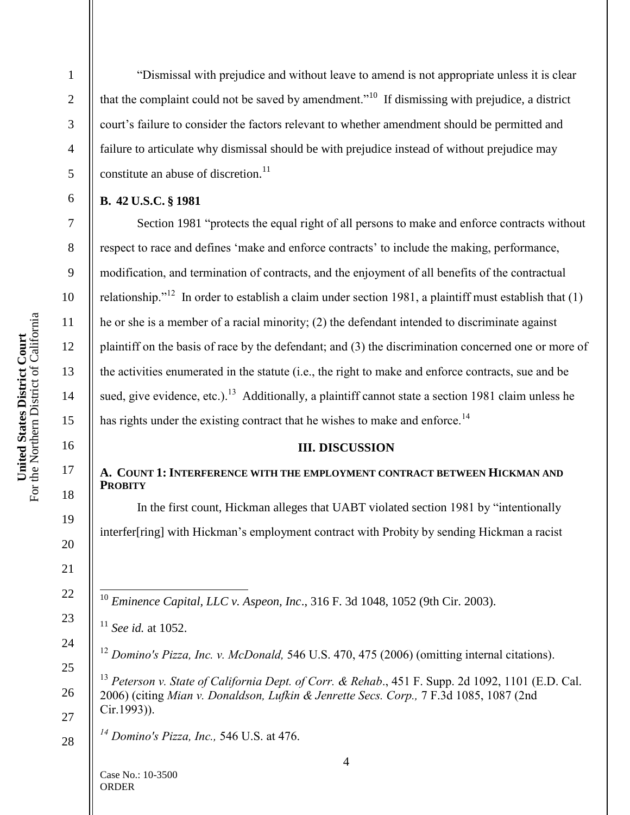United States District Court<br>For the Northern District of California For the Northern District of California **United States District Court**

1

2

3

4

5

―Dismissal with prejudice and without leave to amend is not appropriate unless it is clear that the complaint could not be saved by amendment.<sup> $10$ </sup> If dismissing with prejudice, a district court's failure to consider the factors relevant to whether amendment should be permitted and failure to articulate why dismissal should be with prejudice instead of without prejudice may constitute an abuse of discretion. $^{11}$ 

# **B. 42 U.S.C. § 1981**

Section 1981 "protects the equal right of all persons to make and enforce contracts without respect to race and defines "make and enforce contracts" to include the making, performance, modification, and termination of contracts, and the enjoyment of all benefits of the contractual relationship."<sup>12</sup> In order to establish a claim under section 1981, a plaintiff must establish that  $(1)$ he or she is a member of a racial minority; (2) the defendant intended to discriminate against plaintiff on the basis of race by the defendant; and (3) the discrimination concerned one or more of the activities enumerated in the statute (i.e., the right to make and enforce contracts, sue and be sued, give evidence, etc.).<sup>13</sup> Additionally, a plaintiff cannot state a section 1981 claim unless he has rights under the existing contract that he wishes to make and enforce.<sup>14</sup>

## **III. DISCUSSION**

# **A. COUNT 1: INTERFERENCE WITH THE EMPLOYMENT CONTRACT BETWEEN HICKMAN AND PROBITY**

In the first count, Hickman alleges that UABT violated section 1981 by "intentionally interfer[ring] with Hickman's employment contract with Probity by sending Hickman a racist

 $\overline{a}$ <sup>10</sup> *Eminence Capital, LLC v. Aspeon, Inc*., 316 F. 3d 1048, 1052 (9th Cir. 2003).

<sup>13</sup> *Peterson v. State of California Dept. of Corr. & Rehab*., 451 F. Supp. 2d 1092, 1101 (E.D. Cal. 2006) (citing *Mian v. Donaldson, Lufkin & Jenrette Secs. Corp.,* 7 F.3d 1085, 1087 (2nd Cir.1993)).

*<sup>14</sup> Domino's Pizza, Inc.,* 546 U.S. at 476.

<sup>11</sup> *See id.* at 1052.

<sup>12</sup> *Domino's Pizza, Inc. v. McDonald,* 546 U.S. 470, 475 (2006) (omitting internal citations).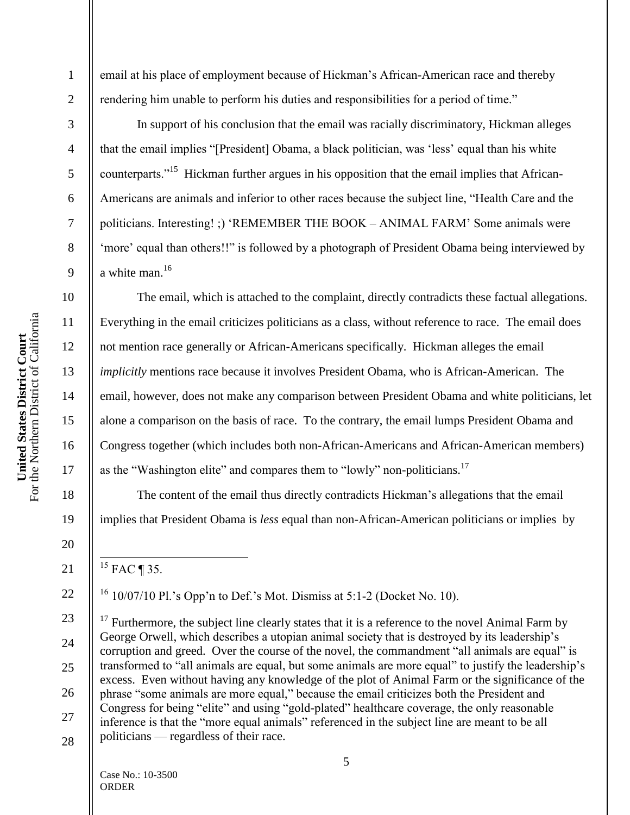**United States District Court**

1

2

3

4

5

6

7

8

9

10

11

12

13

14

15

16

17

18

19

20

21

22

23

24

25

26

27

28

email at his place of employment because of Hickman's African-American race and thereby rendering him unable to perform his duties and responsibilities for a period of time."

In support of his conclusion that the email was racially discriminatory, Hickman alleges that the email implies "[President] Obama, a black politician, was 'less' equal than his white counterparts."<sup>15</sup> Hickman further argues in his opposition that the email implies that African-Americans are animals and inferior to other races because the subject line, "Health Care and the politicians. Interesting! :) 'REMEMBER THE BOOK – ANIMAL FARM' Some animals were ‗more' equal than others!!‖ is followed by a photograph of President Obama being interviewed by a white man.<sup>16</sup>

The email, which is attached to the complaint, directly contradicts these factual allegations. Everything in the email criticizes politicians as a class, without reference to race. The email does not mention race generally or African-Americans specifically. Hickman alleges the email *implicitly* mentions race because it involves President Obama, who is African-American. The email, however, does not make any comparison between President Obama and white politicians, let alone a comparison on the basis of race. To the contrary, the email lumps President Obama and Congress together (which includes both non-African-Americans and African-American members) as the "Washington elite" and compares them to "lowly" non-politicians.<sup>17</sup>

The content of the email thus directly contradicts Hickman's allegations that the email implies that President Obama is *less* equal than non-African-American politicians or implies by

 $\overline{a}$  $^{15}$  FAC ¶ 35.

 $16$  10/07/10 Pl.'s Opp'n to Def.'s Mot. Dismiss at 5:1-2 (Docket No. 10).

 $17$  Furthermore, the subject line clearly states that it is a reference to the novel Animal Farm by George Orwell, which describes a utopian animal society that is destroyed by its leadership's corruption and greed. Over the course of the novel, the commandment "all animals are equal" is transformed to "all animals are equal, but some animals are more equal" to justify the leadership's excess. Even without having any knowledge of the plot of Animal Farm or the significance of the phrase "some animals are more equal," because the email criticizes both the President and Congress for being "elite" and using "gold-plated" healthcare coverage, the only reasonable inference is that the "more equal animals" referenced in the subject line are meant to be all politicians — regardless of their race.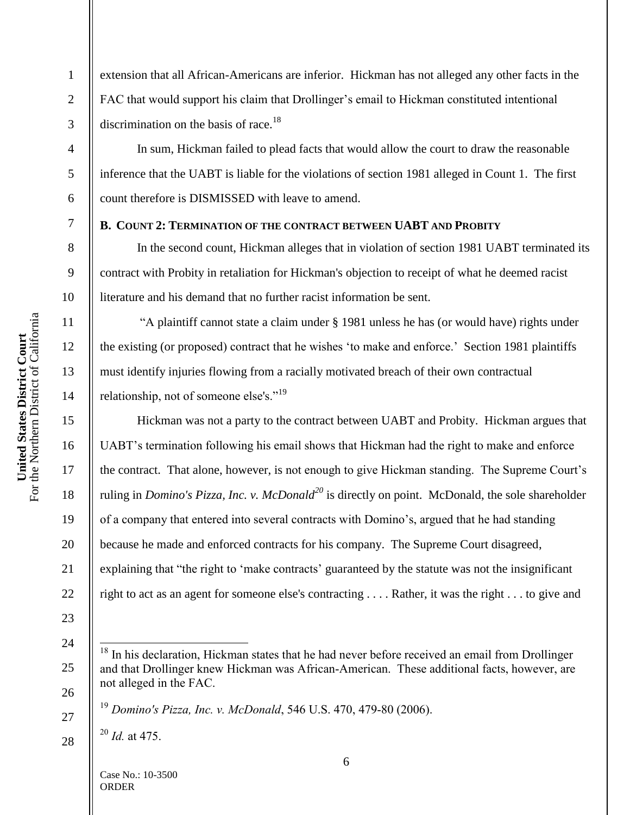extension that all African-Americans are inferior. Hickman has not alleged any other facts in the FAC that would support his claim that Drollinger's email to Hickman constituted intentional discrimination on the basis of race.<sup>18</sup>

In sum, Hickman failed to plead facts that would allow the court to draw the reasonable inference that the UABT is liable for the violations of section 1981 alleged in Count 1. The first count therefore is DISMISSED with leave to amend.

### **B. COUNT 2: TERMINATION OF THE CONTRACT BETWEEN UABT AND PROBITY**

In the second count, Hickman alleges that in violation of section 1981 UABT terminated its contract with Probity in retaliation for Hickman's objection to receipt of what he deemed racist literature and his demand that no further racist information be sent.

―A plaintiff cannot state a claim under § 1981 unless he has (or would have) rights under the existing (or proposed) contract that he wishes 'to make and enforce.' Section 1981 plaintiffs must identify injuries flowing from a racially motivated breach of their own contractual relationship, not of someone else's."<sup>19</sup>

Hickman was not a party to the contract between UABT and Probity. Hickman argues that UABT's termination following his email shows that Hickman had the right to make and enforce the contract. That alone, however, is not enough to give Hickman standing. The Supreme Court's ruling in *Domino's Pizza, Inc. v. McDonald<sup>20</sup>* is directly on point. McDonald, the sole shareholder of a company that entered into several contracts with Domino's, argued that he had standing because he made and enforced contracts for his company. The Supreme Court disagreed, explaining that "the right to 'make contracts' guaranteed by the statute was not the insignificant right to act as an agent for someone else's contracting . . . . Rather, it was the right . . . to give and

<sup>20</sup> *Id.* at 475.

1

2

3

4

5

6

7

8

9

10

11

12

13

14

15

16

17

18

19

20

21

22

23

24

 $\overline{a}$ 

25

26

27

28

In his declaration, Hickman states that he had never before received an email from Drollinger and that Drollinger knew Hickman was African-American. These additional facts, however, are not alleged in the FAC.

<sup>19</sup> *Domino's Pizza, Inc. v. McDonald*, 546 U.S. 470, 479-80 (2006).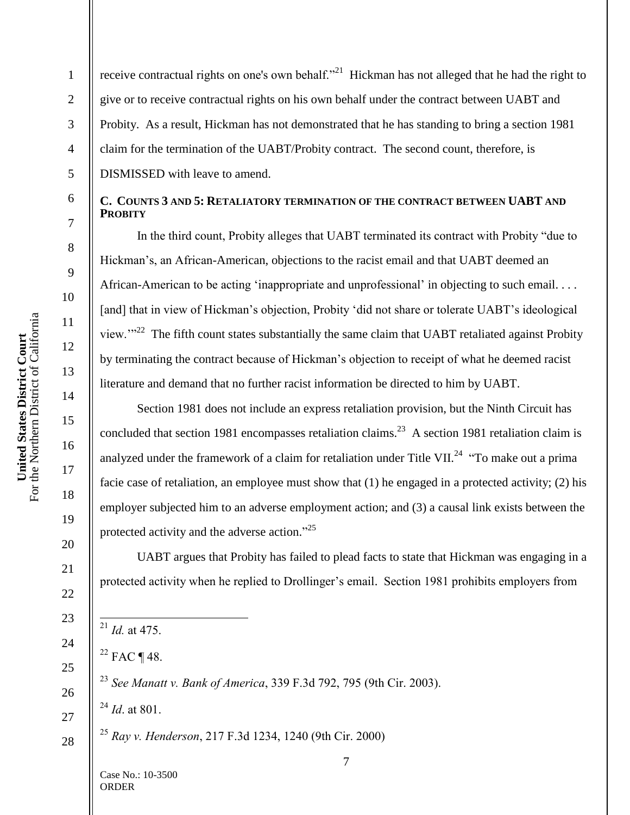1

2

3

4

5

6

7

8

9

10

11

12

13

14

15

16

17

18

19

20

21

22

23

24

25

26

27

28

receive contractual rights on one's own behalf."<sup>21</sup> Hickman has not alleged that he had the right to give or to receive contractual rights on his own behalf under the contract between UABT and Probity. As a result, Hickman has not demonstrated that he has standing to bring a section 1981 claim for the termination of the UABT/Probity contract. The second count, therefore, is DISMISSED with leave to amend.

#### **C. COUNTS 3 AND 5: RETALIATORY TERMINATION OF THE CONTRACT BETWEEN UABT AND PROBITY**

In the third count, Probity alleges that UABT terminated its contract with Probity "due to Hickman's, an African-American, objections to the racist email and that UABT deemed an African-American to be acting 'inappropriate and unprofessional' in objecting to such email. . . . [and] that in view of Hickman's objection, Probity 'did not share or tolerate UABT's ideological view." $^{22}$  The fifth count states substantially the same claim that UABT retaliated against Probity by terminating the contract because of Hickman's objection to receipt of what he deemed racist literature and demand that no further racist information be directed to him by UABT.

Section 1981 does not include an express retaliation provision, but the Ninth Circuit has concluded that section 1981 encompasses retaliation claims.<sup>23</sup> A section 1981 retaliation claim is analyzed under the framework of a claim for retaliation under Title VII.<sup>24</sup> "To make out a prima facie case of retaliation, an employee must show that (1) he engaged in a protected activity; (2) his employer subjected him to an adverse employment action; and (3) a causal link exists between the protected activity and the adverse action."<sup>25</sup>

UABT argues that Probity has failed to plead facts to state that Hickman was engaging in a protected activity when he replied to Drollinger's email. Section 1981 prohibits employers from

 $^{21}$  *Id.* at 475.

 $\overline{a}$ 

 $22$  FAC ¶ 48.

<sup>23</sup> *See Manatt v. Bank of America*, 339 F.3d 792, 795 (9th Cir. 2003).

<sup>24</sup> *Id*. at 801.

<sup>25</sup> *Ray v. Henderson*, 217 F.3d 1234, 1240 (9th Cir. 2000)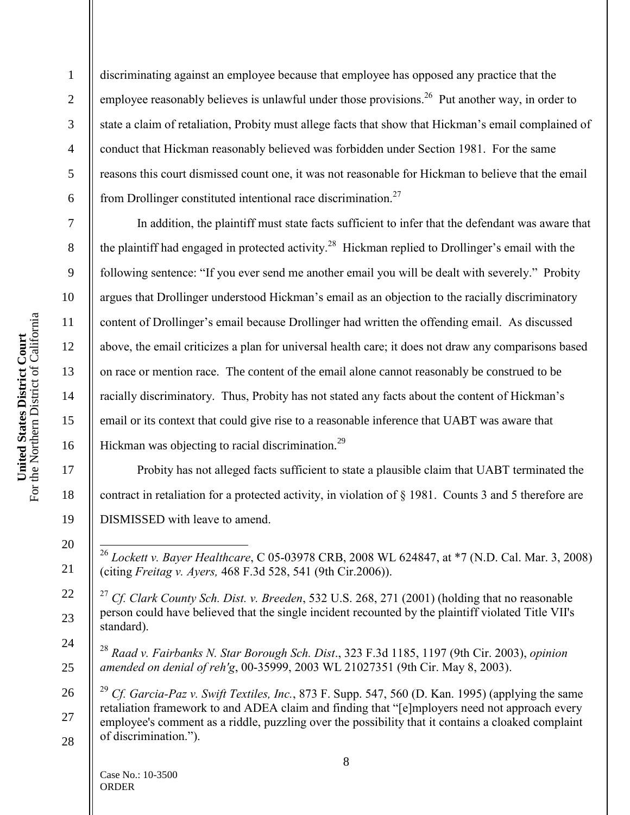United States District Court<br>For the Northern District of California For the Northern District of California **United States District Court**

7

8

9

10

11

12

13

14

15

16

17

18

19

20

21

22

23

24

25

1 2 3 4 5 6 discriminating against an employee because that employee has opposed any practice that the employee reasonably believes is unlawful under those provisions.<sup>26</sup> Put another way, in order to state a claim of retaliation, Probity must allege facts that show that Hickman"s email complained of conduct that Hickman reasonably believed was forbidden under Section 1981. For the same reasons this court dismissed count one, it was not reasonable for Hickman to believe that the email from Drollinger constituted intentional race discrimination.<sup>27</sup>

In addition, the plaintiff must state facts sufficient to infer that the defendant was aware that the plaintiff had engaged in protected activity.<sup>28</sup> Hickman replied to Drollinger's email with the following sentence: "If you ever send me another email you will be dealt with severely." Probity argues that Drollinger understood Hickman's email as an objection to the racially discriminatory content of Drollinger's email because Drollinger had written the offending email. As discussed above, the email criticizes a plan for universal health care; it does not draw any comparisons based on race or mention race. The content of the email alone cannot reasonably be construed to be racially discriminatory. Thus, Probity has not stated any facts about the content of Hickman's email or its context that could give rise to a reasonable inference that UABT was aware that Hickman was objecting to racial discrimination. $^{29}$ 

Probity has not alleged facts sufficient to state a plausible claim that UABT terminated the contract in retaliation for a protected activity, in violation of § 1981. Counts 3 and 5 therefore are DISMISSED with leave to amend.

<sup>28</sup> *Raad v. Fairbanks N. Star Borough Sch. Dist*., 323 F.3d 1185, 1197 (9th Cir. 2003), *opinion amended on denial of reh'g*, 00-35999, 2003 WL 21027351 (9th Cir. May 8, 2003).

26 27 28 <sup>29</sup> *Cf. Garcia-Paz v. Swift Textiles, Inc.*, 873 F. Supp. 547, 560 (D. Kan. 1995) (applying the same retaliation framework to and ADEA claim and finding that "[e]mployers need not approach every employee's comment as a riddle, puzzling over the possibility that it contains a cloaked complaint of discrimination.").

 $\overline{a}$ <sup>26</sup> *Lockett v. Bayer Healthcare*, C 05-03978 CRB, 2008 WL 624847, at \*7 (N.D. Cal. Mar. 3, 2008) (citing *Freitag v. Ayers,* 468 F.3d 528, 541 (9th Cir.2006)).

<sup>27</sup> *Cf. Clark County Sch. Dist. v. Breeden*, 532 U.S. 268, 271 (2001) (holding that no reasonable person could have believed that the single incident recounted by the plaintiff violated Title VII's standard).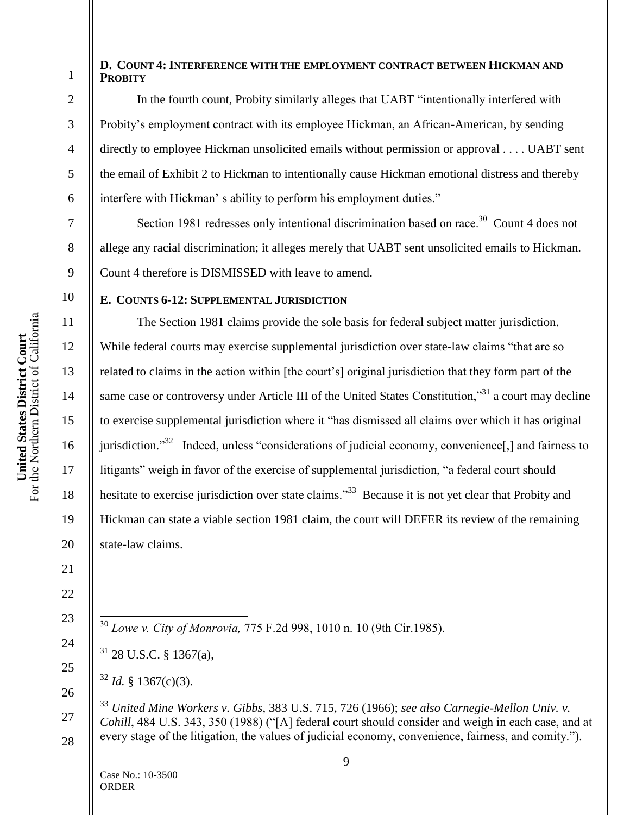#### **D. COUNT 4: INTERFERENCE WITH THE EMPLOYMENT CONTRACT BETWEEN HICKMAN AND PROBITY**

17

18

19

20

21

22

23

24

25

26

27

1

In the fourth count, Probity similarly alleges that UABT "intentionally interfered with Probity's employment contract with its employee Hickman, an African-American, by sending directly to employee Hickman unsolicited emails without permission or approval . . . . UABT sent the email of Exhibit 2 to Hickman to intentionally cause Hickman emotional distress and thereby interfere with Hickman's ability to perform his employment duties."

Section 1981 redresses only intentional discrimination based on race.<sup>30</sup> Count 4 does not allege any racial discrimination; it alleges merely that UABT sent unsolicited emails to Hickman. Count 4 therefore is DISMISSED with leave to amend.

## **E. COUNTS 6-12: SUPPLEMENTAL JURISDICTION**

The Section 1981 claims provide the sole basis for federal subject matter jurisdiction. While federal courts may exercise supplemental jurisdiction over state-law claims "that are so related to claims in the action within [the court's] original jurisdiction that they form part of the same case or controversy under Article III of the United States Constitution, $\frac{331}{12}$  a court may decline to exercise supplemental jurisdiction where it "has dismissed all claims over which it has original jurisdiction."<sup>32</sup> Indeed, unless "considerations of judicial economy, convenience[,] and fairness to litigants" weigh in favor of the exercise of supplemental jurisdiction, "a federal court should hesitate to exercise jurisdiction over state claims."<sup>33</sup> Because it is not yet clear that Probity and Hickman can state a viable section 1981 claim, the court will DEFER its review of the remaining state-law claims.

- $\overline{a}$ <sup>30</sup> *Lowe v. City of Monrovia,* 775 F.2d 998, 1010 n. 10 (9th Cir.1985).
- <sup>31</sup> 28 U.S.C. § 1367(a),
- $32$  *Id.* § 1367(c)(3).

28 <sup>33</sup> *United Mine Workers v. Gibbs*, 383 U.S. 715, 726 (1966); *see also Carnegie-Mellon Univ. v. Cohill*, 484 U.S. 343, 350 (1988) ("[A] federal court should consider and weigh in each case, and at every stage of the litigation, the values of judicial economy, convenience, fairness, and comity.").

United States District Court<br>For the Northern District of California For the Northern District of California **United States District Court**